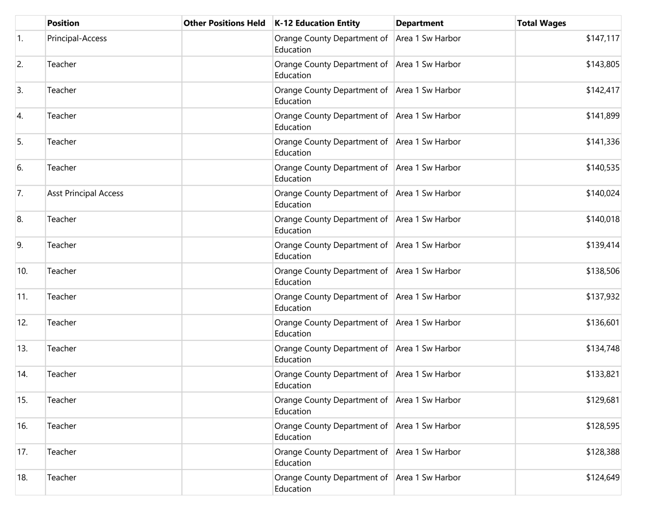|                  | <b>Position</b>              | Other Positions Held   K-12 Education Entity                | <b>Department</b> | <b>Total Wages</b> |
|------------------|------------------------------|-------------------------------------------------------------|-------------------|--------------------|
| $\overline{1}$ . | Principal-Access             | Orange County Department of Area 1 Sw Harbor<br>Education   |                   | \$147,117          |
| 2.               | Teacher                      | Orange County Department of Area 1 Sw Harbor<br>Education   |                   | \$143,805          |
| 3.               | Teacher                      | Orange County Department of Area 1 Sw Harbor<br>Education   |                   | \$142,417          |
| 4.               | Teacher                      | Orange County Department of Area 1 Sw Harbor<br>Education   |                   | \$141,899          |
| 5.               | Teacher                      | Orange County Department of Area 1 Sw Harbor<br>Education   |                   | \$141,336          |
| 6.               | Teacher                      | Orange County Department of Area 1 Sw Harbor<br>Education   |                   | \$140,535          |
| 7.               | <b>Asst Principal Access</b> | Orange County Department of Area 1 Sw Harbor<br>Education   |                   | \$140,024          |
| 8.               | Teacher                      | Orange County Department of Area 1 Sw Harbor<br>Education   |                   | \$140,018          |
| 9.               | Teacher                      | Orange County Department of Area 1 Sw Harbor<br>Education   |                   | \$139,414          |
| 10.              | Teacher                      | Orange County Department of   Area 1 Sw Harbor<br>Education |                   | \$138,506          |
| 11.              | Teacher                      | Orange County Department of   Area 1 Sw Harbor<br>Education |                   | \$137,932          |
| 12.              | Teacher                      | Orange County Department of Area 1 Sw Harbor<br>Education   |                   | \$136,601          |
| 13.              | Teacher                      | Orange County Department of Area 1 Sw Harbor<br>Education   |                   | \$134,748          |
| 14.              | Teacher                      | Orange County Department of Area 1 Sw Harbor<br>Education   |                   | \$133,821          |
| 15.              | Teacher                      | Orange County Department of Area 1 Sw Harbor<br>Education   |                   | \$129,681          |
| 16.              | Teacher                      | Orange County Department of Area 1 Sw Harbor<br>Education   |                   | \$128,595          |
| 17.              | Teacher                      | Orange County Department of Area 1 Sw Harbor<br>Education   |                   | \$128,388          |
| 18.              | Teacher                      | Orange County Department of   Area 1 Sw Harbor<br>Education |                   | \$124,649          |